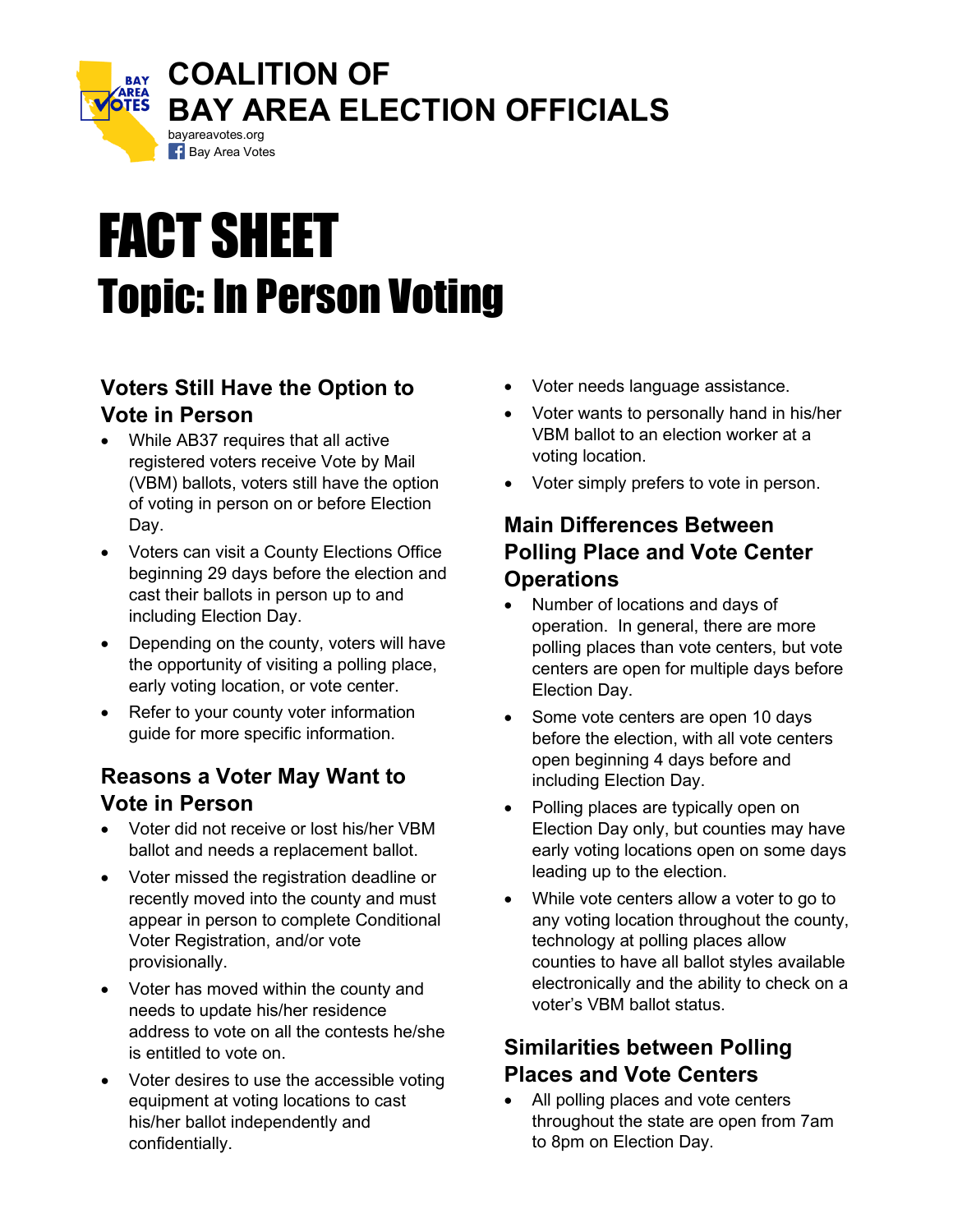

# FACT SHEET Topic: In Person Voting

## **Voters Still Have the Option to Vote in Person**

- While AB37 requires that all active registered voters receive Vote by Mail (VBM) ballots, voters still have the option of voting in person on or before Election Day.
- Voters can visit a County Elections Office beginning 29 days before the election and cast their ballots in person up to and including Election Day.
- Depending on the county, voters will have the opportunity of visiting a polling place, early voting location, or vote center.
- Refer to your county voter information guide for more specific information.

#### **Reasons a Voter May Want to Vote in Person**

- Voter did not receive or lost his/her VBM ballot and needs a replacement ballot.
- Voter missed the registration deadline or recently moved into the county and must appear in person to complete Conditional Voter Registration, and/or vote provisionally.
- Voter has moved within the county and needs to update his/her residence address to vote on all the contests he/she is entitled to vote on.
- Voter desires to use the accessible voting equipment at voting locations to cast his/her ballot independently and confidentially.
- Voter needs language assistance.
- Voter wants to personally hand in his/her VBM ballot to an election worker at a voting location.
- Voter simply prefers to vote in person.

## **Main Differences Between Polling Place and Vote Center Operations**

- Number of locations and days of operation. In general, there are more polling places than vote centers, but vote centers are open for multiple days before Election Day.
- Some vote centers are open 10 days before the election, with all vote centers open beginning 4 days before and including Election Day.
- Polling places are typically open on Election Day only, but counties may have early voting locations open on some days leading up to the election.
- While vote centers allow a voter to go to any voting location throughout the county, technology at polling places allow counties to have all ballot styles available electronically and the ability to check on a voter's VBM ballot status.

# **Similarities between Polling Places and Vote Centers**

All polling places and vote centers throughout the state are open from 7am to 8pm on Election Day.